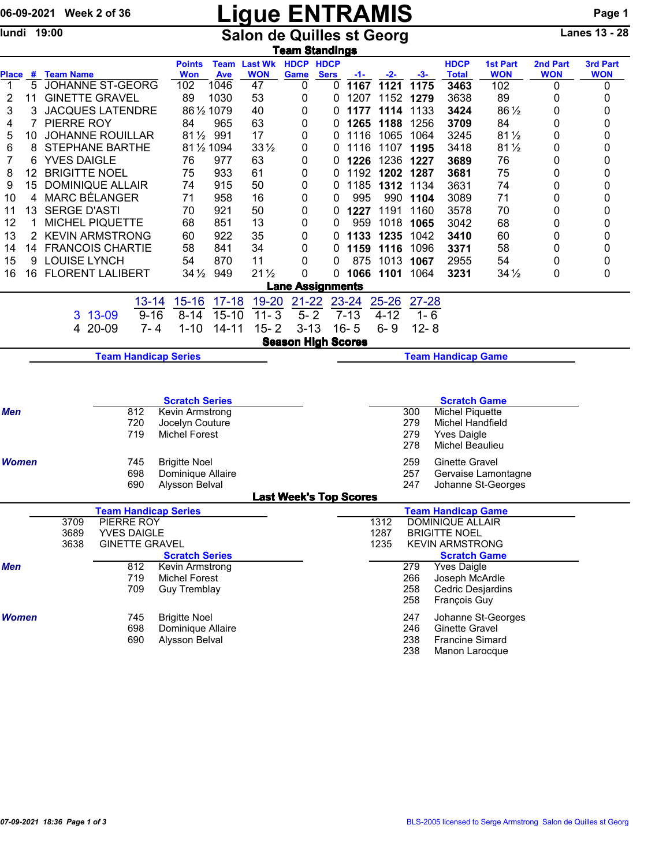## 06-09-2021 Week 2 of 36 **Ligue ENTRAMIS** Page 1

lundi 19:00 **Salon de Quilles st Georg** Lanes 13 - 28

| <b>Team Standings</b>        |                                                          |                             |         |                    |                       |             |                               |                            |                        |          |                              |                           |                         |                 |            |            |  |  |
|------------------------------|----------------------------------------------------------|-----------------------------|---------|--------------------|-----------------------|-------------|-------------------------------|----------------------------|------------------------|----------|------------------------------|---------------------------|-------------------------|-----------------|------------|------------|--|--|
|                              |                                                          |                             |         |                    | <b>Points</b>         |             | <b>Team Last Wk HDCP HDCP</b> |                            |                        |          |                              |                           | <b>HDCP</b>             | <b>1st Part</b> | 2nd Part   | 3rd Part   |  |  |
| Place                        | #                                                        | <b>Team Name</b>            |         |                    | <b>Won</b>            | Ave         | <b>WON</b>                    | Game                       | <b>Sers</b>            | $-1-$    | -2-                          | -3-                       | <b>Total</b>            | <b>WON</b>      | <b>WON</b> | <b>WON</b> |  |  |
| -1                           | 5                                                        | <b>JOHANNE ST-GEORG</b>     |         |                    | 102                   | 1046        | 47                            | 0                          | 0                      | 1167     | 1121                         | 1175                      | 3463                    | 102             | 0          | 0          |  |  |
| 2                            | 11                                                       | <b>GINETTE GRAVEL</b>       |         |                    | 89                    | 1030        | 53                            | 0                          | 0                      | 1207     |                              | 1152 1279                 | 3638                    | 89              | 0          | 0          |  |  |
| 3                            | 3                                                        | <b>JACQUES LATENDRE</b>     |         |                    | 86 1/2 1079           |             | 40                            | 0                          | 0                      | 1177     | 1114                         | 1133                      | 3424                    | 86 1/2          | 0          | 0          |  |  |
| 4                            | 7                                                        | PIERRE ROY                  |         |                    | 84                    | 965         | 63                            | 0                          | 0                      | 1265     | 1188                         | 1256                      | 3709                    | 84              | 0          | 0          |  |  |
| 5                            | 10                                                       | <b>JOHANNE ROUILLAR</b>     |         |                    | 811/2 991             |             | 17                            | 0                          | 0                      | 1116     | 1065                         | 1064                      | 3245                    | $81\frac{1}{2}$ | 0          | 0          |  |  |
| 6                            | 8                                                        | <b>STEPHANE BARTHE</b>      |         |                    |                       | 81 1/2 1094 | $33\frac{1}{2}$               | 0                          | 0                      | 1116     | 1107 1195                    |                           | 3418                    | $81\frac{1}{2}$ | 0          | 0          |  |  |
| 7                            | 6                                                        | <b>YVES DAIGLE</b>          |         |                    | 76                    | 977         | 63                            | 0                          | 0                      | 1226     | 1236 1227                    |                           | 3689                    | 76              | 0          | 0          |  |  |
| 8                            | 12                                                       | <b>BRIGITTE NOEL</b>        |         |                    | 75                    | 933         | 61                            | 0                          | 0                      |          | 1192 1202 1287               |                           | 3681                    | 75              | 0          | 0          |  |  |
| 9                            | 15                                                       | <b>DOMINIQUE ALLAIR</b>     |         |                    | 74                    | 915         | 50                            | 0                          | 0                      |          | 1185 1312 1134               |                           | 3631                    | 74              | 0          | 0          |  |  |
| 10                           | 4                                                        | <b>MARC BÉLANGER</b>        |         |                    | 71                    | 958         | 16                            | 0                          | 0                      | 995      | 990                          | 1104                      | 3089                    | 71              | 0          | 0          |  |  |
| 11                           | 13                                                       | <b>SERGE D'ASTI</b>         |         |                    | 70                    | 921         | 50                            | 0                          | 0                      | 1227     | 1191                         | 1160                      | 3578                    | 70              | 0          | 0          |  |  |
| 12                           | 1                                                        | MICHEL PIQUETTE             |         |                    | 68                    | 851         | 13                            | 0                          | 0                      | 959      | 1018                         | 1065                      | 3042                    | 68              | 0          | 0          |  |  |
| 13                           | $\overline{2}$                                           | <b>KEVIN ARMSTRONG</b>      |         |                    | 60                    | 922         | 35                            | 0                          | 0                      | 1133     | 1235                         | 1042                      | 3410                    | 60              | 0          | 0          |  |  |
| 14                           |                                                          | 14 FRANCOIS CHARTIE         |         |                    | 58                    | 841         | 34                            | 0                          | 0                      | 1159     | 1116                         | 1096                      | 3371                    | 58              | 0          | 0          |  |  |
| 15                           | 9                                                        | <b>LOUISE LYNCH</b>         |         |                    | 54                    | 870         | 11                            | 0                          | 0                      | 875      | 1013 1067                    |                           | 2955                    | 54              | 0          | 0          |  |  |
| 16                           | 16                                                       | <b>FLORENT LALIBERT</b>     |         |                    | $34\frac{1}{2}$       | 949         | $21\frac{1}{2}$               | 0                          | 0                      |          | 1066 1101                    | 1064                      | 3231                    | $34\frac{1}{2}$ | 0          | 0          |  |  |
|                              |                                                          |                             |         |                    |                       |             |                               | <b>Lane Assignments</b>    |                        |          |                              |                           |                         |                 |            |            |  |  |
|                              |                                                          |                             |         | $13 - 14$          | $15 - 16$             | $17 - 18$   | 19-20                         | $21 - 22$                  |                        | 23-24    | $25 - 26$                    | $27 - 28$                 |                         |                 |            |            |  |  |
|                              |                                                          |                             | 3 13-09 | $9 - 16$           | $8 - 14$              | $15 - 10$   | $11 - 3$                      | $5 - 2$                    |                        | $7 - 13$ | $4 - 12$                     | $1 - 6$                   |                         |                 |            |            |  |  |
|                              |                                                          |                             | 4 20-09 | $7 - 4$            | $1 - 10$              | $14 - 11$   | $15 - 2$                      | $3 - 13$                   |                        | $16 - 5$ | $6 - 9$                      | $12 - 8$                  |                         |                 |            |            |  |  |
|                              |                                                          |                             |         |                    |                       |             |                               | <b>Season High Scores</b>  |                        |          |                              |                           |                         |                 |            |            |  |  |
|                              | <b>Team Handicap Series</b><br><b>Team Handicap Game</b> |                             |         |                    |                       |             |                               |                            |                        |          |                              |                           |                         |                 |            |            |  |  |
|                              |                                                          |                             |         |                    |                       |             |                               |                            |                        |          |                              |                           |                         |                 |            |            |  |  |
|                              |                                                          |                             |         |                    |                       |             |                               |                            |                        |          |                              |                           |                         |                 |            |            |  |  |
|                              |                                                          |                             |         |                    | <b>Scratch Series</b> |             |                               |                            |                        |          |                              |                           | <b>Scratch Game</b>     |                 |            |            |  |  |
| Men                          |                                                          |                             |         | 812                | Kevin Armstrong       |             |                               |                            |                        |          |                              | 300                       | <b>Michel Piquette</b>  |                 |            |            |  |  |
|                              |                                                          |                             |         | 720                | Jocelyn Couture       |             |                               | 279<br>Michel Handfield    |                        |          |                              |                           |                         |                 |            |            |  |  |
|                              | 719<br><b>Michel Forest</b>                              |                             |         |                    |                       |             |                               | 279<br><b>Yves Daigle</b>  |                        |          |                              |                           |                         |                 |            |            |  |  |
|                              |                                                          |                             |         |                    |                       |             |                               |                            | 278<br>Michel Beaulieu |          |                              |                           |                         |                 |            |            |  |  |
| <b>Women</b>                 |                                                          | 745<br><b>Brigitte Noel</b> |         |                    |                       |             |                               |                            |                        |          |                              | 259                       | <b>Ginette Gravel</b>   |                 |            |            |  |  |
|                              |                                                          | 698<br>Dominique Allaire    |         |                    |                       |             |                               | 257<br>Gervaise Lamontagne |                        |          |                              |                           |                         |                 |            |            |  |  |
| 690<br><b>Alysson Belval</b> |                                                          |                             |         |                    |                       |             |                               |                            |                        | 247      |                              | Johanne St-Georges        |                         |                 |            |            |  |  |
|                              | <b>Last Week's Top Scores</b>                            |                             |         |                    |                       |             |                               |                            |                        |          |                              |                           |                         |                 |            |            |  |  |
|                              | <b>Team Handicap Series</b>                              |                             |         |                    |                       |             |                               |                            |                        |          |                              | <b>Team Handicap Game</b> |                         |                 |            |            |  |  |
|                              | PIERRE ROY<br>3709                                       |                             |         |                    |                       |             |                               |                            |                        |          | 1312                         | <b>DOMINIQUE ALLAIR</b>   |                         |                 |            |            |  |  |
|                              |                                                          | 3689                        |         | <b>YVES DAIGLE</b> |                       |             |                               |                            |                        |          | 1287<br><b>BRIGITTE NOEL</b> |                           |                         |                 |            |            |  |  |
|                              | <b>ספפט</b><br>CINIETTE COAUEL                           |                             |         |                    |                       |             |                               |                            |                        |          | 100E                         |                           | <b>VEUINI ADMOTOOMO</b> |                 |            |            |  |  |

| ວບ໐ອ         | I VEJ DAIULE.         |                       | 1407 |     | <b>DRIGHTE INVEL</b>   |
|--------------|-----------------------|-----------------------|------|-----|------------------------|
| 3638         | <b>GINETTE GRAVEL</b> |                       | 1235 |     | <b>KEVIN ARMSTRONG</b> |
|              |                       | <b>Scratch Series</b> |      |     | <b>Scratch Game</b>    |
| <b>Men</b>   | 812                   | Kevin Armstrong       |      | 279 | <b>Yves Daigle</b>     |
|              | 719                   | Michel Forest         |      | 266 | Joseph McArdle         |
|              | 709                   | <b>Guy Tremblay</b>   |      | 258 | Cedric Desjardins      |
|              |                       |                       |      | 258 | François Guy           |
| <b>Women</b> | 745                   | <b>Brigitte Noel</b>  |      | 247 | Johanne St-Georges     |
|              | 698                   | Dominique Allaire     |      | 246 | Ginette Gravel         |
|              | 690                   | Alysson Belval        |      | 238 | <b>Francine Simard</b> |
|              |                       |                       |      | 238 | Manon Larocque         |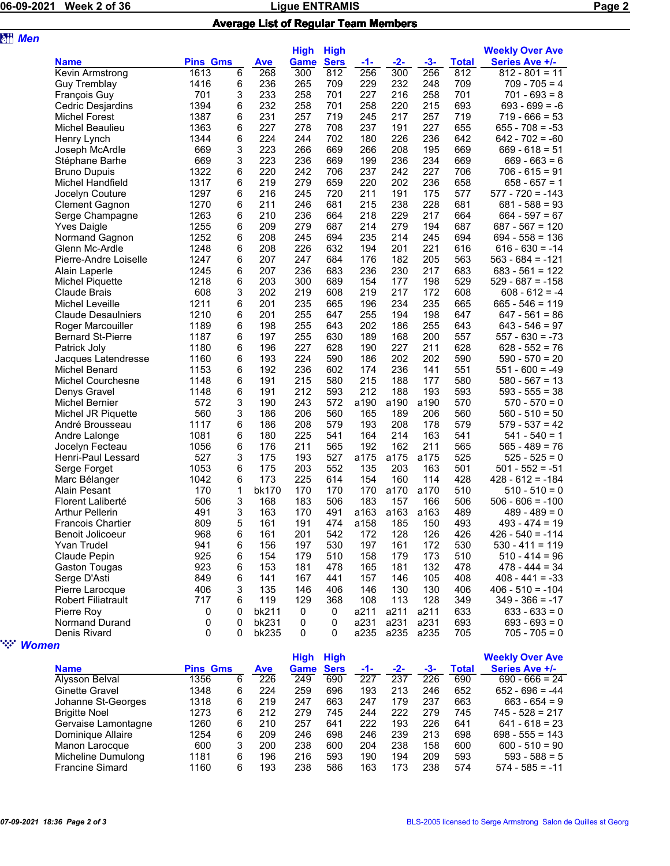**a**<sup>#</sup> Men

## 06-09-2021 Week 2 of 36 **Discriming 2018** Ligue ENTRAMIS

|--|

## Average List of Regular Team Members

| <b>Pins Gms</b><br><b>Ave</b><br>Game<br>$-2-$<br>$-3-$<br><b>Total</b><br><b>Series Ave +/-</b><br><b>Name</b><br>-1-<br>268<br>300<br>812<br>256<br>300<br>256<br>812<br><b>Kevin Armstrong</b><br>1613<br>6<br>$812 - 801 = 11$<br>1416<br>6<br>236<br>265<br>229<br>232<br>248<br>709<br><b>Guy Tremblay</b><br>709<br>$709 - 705 = 4$<br>701<br>3<br>233<br>258<br>227<br>216<br>701<br>701<br>258<br>$701 - 693 = 8$<br>François Guy<br>6<br>232<br>258<br>258<br>220<br>215<br>693<br>1394<br>701<br>$693 - 699 = -6$<br><b>Cedric Desjardins</b><br>1387<br>231<br>257<br>719<br>257<br>719<br>6<br>245<br>217<br>$719 - 666 = 53$<br>Michel Forest<br>227<br>278<br>708<br>237<br>191<br>227<br>655<br>1363<br>6<br>$655 - 708 = -53$<br>Michel Beaulieu<br>6<br>224<br>244<br>226<br>236<br>1344<br>702<br>180<br>642<br>$642 - 702 = -60$<br>Henry Lynch<br>3<br>669<br>223<br>266<br>669<br>266<br>208<br>195<br>669<br>$669 - 618 = 51$<br>Joseph McArdle<br>669<br>3<br>223<br>236<br>199<br>236<br>234<br>669<br>669<br>$669 - 663 = 6$<br>Stéphane Barhe<br>220<br>237<br>227<br>1322<br>6<br>242<br>706<br>242<br>706<br>$706 - 615 = 91$<br><b>Bruno Dupuis</b><br>1317<br>6<br>219<br>279<br>220<br>202<br>236<br>658<br>659<br>$658 - 657 = 1$<br>Michel Handfield<br>1297<br>6<br>245<br>720<br>211<br>191<br>175<br>$577 - 720 = -143$<br>216<br>577<br>Jocelyn Couture<br>246<br>238<br>228<br>1270<br>6<br>211<br>681<br>215<br>681<br>$681 - 588 = 93$<br><b>Clement Gagnon</b><br>1263<br>6<br>210<br>236<br>218<br>229<br>217<br>664<br>664<br>$664 - 597 = 67$<br>Serge Champagne<br>1255<br>6<br>209<br>279<br>687<br>214<br>279<br>194<br>687<br>$687 - 567 = 120$<br><b>Yves Daigle</b><br>214<br>1252<br>6<br>208<br>245<br>694<br>235<br>245<br>694<br>$694 - 558 = 136$<br>Normand Gagnon<br>6<br>208<br>226<br>194<br>201<br>221<br>616<br>$616 - 630 = -14$<br>Glenn Mc-Ardle<br>1248<br>632<br>1247<br>6<br>207<br>247<br>684<br>176<br>182<br>205<br>563<br>$563 - 684 = -121$<br>Pierre-Andre Loiselle<br>236<br>236<br>230<br>1245<br>6<br>207<br>683<br>217<br>683<br>$683 - 561 = 122$<br>Alain Laperle<br>1218<br>6<br>203<br>300<br>177<br>198<br>529<br>689<br>154<br>$529 - 687 = -158$<br>Michel Piquette<br>608<br>3<br>202<br>219<br>219<br>217<br>172<br>608<br>608<br>$608 - 612 = -4$<br>Claude Brais<br>235<br>196<br>234<br>235<br>1211<br>6<br>201<br>665<br>665<br>$665 - 546 = 119$<br>Michel Leveille<br>1210<br>6<br>201<br>255<br>255<br>194<br>198<br>647<br>$647 - 561 = 86$<br><b>Claude Desaulniers</b><br>647<br>1189<br>6<br>255<br>202<br>186<br>255<br>643<br>Roger Marcouiller<br>198<br>643<br>$643 - 546 = 97$<br>255<br><b>Bernard St-Pierre</b><br>1187<br>6<br>197<br>630<br>189<br>168<br>200<br>557<br>$557 - 630 = -73$<br>1180<br>6<br>227<br>227<br>628<br>196<br>628<br>190<br>211<br>$628 - 552 = 76$<br>Patrick Joly<br>6<br>193<br>224<br>202<br>590<br>1160<br>590<br>186<br>202<br>$590 - 570 = 20$<br>Jacques Latendresse<br>192<br>236<br>236<br>1153<br>6<br>602<br>174<br>141<br>551<br>$551 - 600 = -49$<br>Michel Benard<br>6<br>191<br>215<br>580<br>215<br>188<br>177<br>580<br>1148<br>$580 - 567 = 13$<br><b>Michel Courchesne</b><br>6<br>212<br>593<br>212<br>188<br>193<br>593<br>Denys Gravel<br>1148<br>191<br>$593 - 555 = 38$<br>3<br>243<br>a190<br>a190<br>a190<br>572<br>190<br>572<br>570<br>$570 - 570 = 0$<br>Michel Bernier<br>3<br>560<br>186<br>206<br>560<br>560<br>165<br>189<br>206<br>$560 - 510 = 50$<br>Michel JR Piquette<br>6<br>208<br>579<br>1117<br>186<br>579<br>193<br>208<br>178<br>$579 - 537 = 42$<br>André Brousseau<br>1081<br>225<br>541<br>214<br>163<br>6<br>180<br>164<br>541<br>$541 - 540 = 1$<br>Andre Lalonge<br>6<br>211<br>565<br>192<br>162<br>211<br>565<br>1056<br>176<br>$565 - 489 = 76$<br>Jocelyn Fecteau<br>3<br>527<br>175<br>193<br>527<br>a175<br>a175<br>a175<br>525<br>$525 - 525 = 0$<br>Henri-Paul Lessard<br>1053<br>6<br>175<br>203<br>552<br>135<br>203<br>163<br>501<br>$501 - 552 = -51$<br>Serge Forget<br>6<br>173<br>225<br>160<br>428<br>1042<br>614<br>154<br>114<br>$428 - 612 = -184$<br>Marc Bélanger<br>170<br>1<br>170<br>170<br>a170<br>510<br>bk170<br>170<br>a170<br>$510 - 510 = 0$<br>Alain Pesant<br>506<br>3<br>168<br>183<br>506<br>183<br>157<br>166<br>506<br>$506 - 606 = -100$<br>Florent Laliberté<br>491<br>3<br>170<br>491<br>a163<br>a163<br>a163<br>489<br>163<br>$489 - 489 = 0$<br><b>Arthur Pellerin</b><br>5<br>191<br>185<br>493<br><b>Francois Chartier</b><br>809<br>161<br>474<br>a158<br>150<br>$493 - 474 = 19$<br>968<br>201<br>542<br>128<br>126<br>6<br>161<br>172<br>426<br>$426 - 540 = -114$<br>Benoit Jolicoeur<br>6<br>941<br>530<br>$530 - 411 = 119$<br>Yvan Trudel<br>156<br>197<br>530<br>197<br>161<br>172<br>925<br>6<br>154<br>510<br>Claude Pepin<br>179<br>510<br>158<br>179<br>173<br>$510 - 414 = 96$<br>923<br>181<br>132<br>478<br><b>Gaston Tougas</b><br>6<br>153<br>478<br>165<br>181<br>$478 - 444 = 34$<br>6<br>Serge D'Asti<br>849<br>141<br>167<br>441<br>157<br>146<br>105<br>408<br>$408 - 441 = -33$<br>406<br>3<br>135<br>146<br>406<br>130<br>130<br>406<br>$406 - 510 = -104$<br>Pierre Larocque<br>146<br>129<br>349<br>$349 - 366 = -17$<br><b>Robert Filiatrault</b><br>717<br>6<br>119<br>368<br>108<br>113<br>128<br>Pierre Roy<br>0<br>0<br>bk211<br>a211<br>a211<br>a211<br>633<br>$633 - 633 = 0$<br>0<br>0<br>a231<br>a231<br>693<br>Normand Durand<br>0<br>0<br>bk231<br>0<br>a231<br>$693 - 693 = 0$<br>0<br>0<br>bk235<br>0<br>a235<br>a235<br>a235<br>$705 - 705 = 0$<br>Denis Rivard<br>0<br>0<br>705 |  | <b>High</b> | <b>High</b> |             |  | <b>Weekly Over Ave</b> |  |  |
|-----------------------------------------------------------------------------------------------------------------------------------------------------------------------------------------------------------------------------------------------------------------------------------------------------------------------------------------------------------------------------------------------------------------------------------------------------------------------------------------------------------------------------------------------------------------------------------------------------------------------------------------------------------------------------------------------------------------------------------------------------------------------------------------------------------------------------------------------------------------------------------------------------------------------------------------------------------------------------------------------------------------------------------------------------------------------------------------------------------------------------------------------------------------------------------------------------------------------------------------------------------------------------------------------------------------------------------------------------------------------------------------------------------------------------------------------------------------------------------------------------------------------------------------------------------------------------------------------------------------------------------------------------------------------------------------------------------------------------------------------------------------------------------------------------------------------------------------------------------------------------------------------------------------------------------------------------------------------------------------------------------------------------------------------------------------------------------------------------------------------------------------------------------------------------------------------------------------------------------------------------------------------------------------------------------------------------------------------------------------------------------------------------------------------------------------------------------------------------------------------------------------------------------------------------------------------------------------------------------------------------------------------------------------------------------------------------------------------------------------------------------------------------------------------------------------------------------------------------------------------------------------------------------------------------------------------------------------------------------------------------------------------------------------------------------------------------------------------------------------------------------------------------------------------------------------------------------------------------------------------------------------------------------------------------------------------------------------------------------------------------------------------------------------------------------------------------------------------------------------------------------------------------------------------------------------------------------------------------------------------------------------------------------------------------------------------------------------------------------------------------------------------------------------------------------------------------------------------------------------------------------------------------------------------------------------------------------------------------------------------------------------------------------------------------------------------------------------------------------------------------------------------------------------------------------------------------------------------------------------------------------------------------------------------------------------------------------------------------------------------------------------------------------------------------------------------------------------------------------------------------------------------------------------------------------------------------------------------------------------------------------------------------------------------------------------------------------------------------------------------------------------------------------------------------------------------------------------------------------------------------------------------------------------------------------------------------------------------------------------------------------------------------------------------------------------------------------------------------------------------------------------------------------------------------------------------------------------------------------------------------------------------------------------------------------------------------------------------------------------------------------------------------------------------------------------------------------------------------------------------------------------------------------------------------------------------------------------------------------------------------------------------------------|--|-------------|-------------|-------------|--|------------------------|--|--|
|                                                                                                                                                                                                                                                                                                                                                                                                                                                                                                                                                                                                                                                                                                                                                                                                                                                                                                                                                                                                                                                                                                                                                                                                                                                                                                                                                                                                                                                                                                                                                                                                                                                                                                                                                                                                                                                                                                                                                                                                                                                                                                                                                                                                                                                                                                                                                                                                                                                                                                                                                                                                                                                                                                                                                                                                                                                                                                                                                                                                                                                                                                                                                                                                                                                                                                                                                                                                                                                                                                                                                                                                                                                                                                                                                                                                                                                                                                                                                                                                                                                                                                                                                                                                                                                                                                                                                                                                                                                                                                                                                                                                                                                                                                                                                                                                                                                                                                                                                                                                                                                                                                                                                                                                                                                                                                                                                                                                                                                                                                                                                                                                                                                           |  |             |             | <b>Sers</b> |  |                        |  |  |
|                                                                                                                                                                                                                                                                                                                                                                                                                                                                                                                                                                                                                                                                                                                                                                                                                                                                                                                                                                                                                                                                                                                                                                                                                                                                                                                                                                                                                                                                                                                                                                                                                                                                                                                                                                                                                                                                                                                                                                                                                                                                                                                                                                                                                                                                                                                                                                                                                                                                                                                                                                                                                                                                                                                                                                                                                                                                                                                                                                                                                                                                                                                                                                                                                                                                                                                                                                                                                                                                                                                                                                                                                                                                                                                                                                                                                                                                                                                                                                                                                                                                                                                                                                                                                                                                                                                                                                                                                                                                                                                                                                                                                                                                                                                                                                                                                                                                                                                                                                                                                                                                                                                                                                                                                                                                                                                                                                                                                                                                                                                                                                                                                                                           |  |             |             |             |  |                        |  |  |
|                                                                                                                                                                                                                                                                                                                                                                                                                                                                                                                                                                                                                                                                                                                                                                                                                                                                                                                                                                                                                                                                                                                                                                                                                                                                                                                                                                                                                                                                                                                                                                                                                                                                                                                                                                                                                                                                                                                                                                                                                                                                                                                                                                                                                                                                                                                                                                                                                                                                                                                                                                                                                                                                                                                                                                                                                                                                                                                                                                                                                                                                                                                                                                                                                                                                                                                                                                                                                                                                                                                                                                                                                                                                                                                                                                                                                                                                                                                                                                                                                                                                                                                                                                                                                                                                                                                                                                                                                                                                                                                                                                                                                                                                                                                                                                                                                                                                                                                                                                                                                                                                                                                                                                                                                                                                                                                                                                                                                                                                                                                                                                                                                                                           |  |             |             |             |  |                        |  |  |
|                                                                                                                                                                                                                                                                                                                                                                                                                                                                                                                                                                                                                                                                                                                                                                                                                                                                                                                                                                                                                                                                                                                                                                                                                                                                                                                                                                                                                                                                                                                                                                                                                                                                                                                                                                                                                                                                                                                                                                                                                                                                                                                                                                                                                                                                                                                                                                                                                                                                                                                                                                                                                                                                                                                                                                                                                                                                                                                                                                                                                                                                                                                                                                                                                                                                                                                                                                                                                                                                                                                                                                                                                                                                                                                                                                                                                                                                                                                                                                                                                                                                                                                                                                                                                                                                                                                                                                                                                                                                                                                                                                                                                                                                                                                                                                                                                                                                                                                                                                                                                                                                                                                                                                                                                                                                                                                                                                                                                                                                                                                                                                                                                                                           |  |             |             |             |  |                        |  |  |
|                                                                                                                                                                                                                                                                                                                                                                                                                                                                                                                                                                                                                                                                                                                                                                                                                                                                                                                                                                                                                                                                                                                                                                                                                                                                                                                                                                                                                                                                                                                                                                                                                                                                                                                                                                                                                                                                                                                                                                                                                                                                                                                                                                                                                                                                                                                                                                                                                                                                                                                                                                                                                                                                                                                                                                                                                                                                                                                                                                                                                                                                                                                                                                                                                                                                                                                                                                                                                                                                                                                                                                                                                                                                                                                                                                                                                                                                                                                                                                                                                                                                                                                                                                                                                                                                                                                                                                                                                                                                                                                                                                                                                                                                                                                                                                                                                                                                                                                                                                                                                                                                                                                                                                                                                                                                                                                                                                                                                                                                                                                                                                                                                                                           |  |             |             |             |  |                        |  |  |
|                                                                                                                                                                                                                                                                                                                                                                                                                                                                                                                                                                                                                                                                                                                                                                                                                                                                                                                                                                                                                                                                                                                                                                                                                                                                                                                                                                                                                                                                                                                                                                                                                                                                                                                                                                                                                                                                                                                                                                                                                                                                                                                                                                                                                                                                                                                                                                                                                                                                                                                                                                                                                                                                                                                                                                                                                                                                                                                                                                                                                                                                                                                                                                                                                                                                                                                                                                                                                                                                                                                                                                                                                                                                                                                                                                                                                                                                                                                                                                                                                                                                                                                                                                                                                                                                                                                                                                                                                                                                                                                                                                                                                                                                                                                                                                                                                                                                                                                                                                                                                                                                                                                                                                                                                                                                                                                                                                                                                                                                                                                                                                                                                                                           |  |             |             |             |  |                        |  |  |
|                                                                                                                                                                                                                                                                                                                                                                                                                                                                                                                                                                                                                                                                                                                                                                                                                                                                                                                                                                                                                                                                                                                                                                                                                                                                                                                                                                                                                                                                                                                                                                                                                                                                                                                                                                                                                                                                                                                                                                                                                                                                                                                                                                                                                                                                                                                                                                                                                                                                                                                                                                                                                                                                                                                                                                                                                                                                                                                                                                                                                                                                                                                                                                                                                                                                                                                                                                                                                                                                                                                                                                                                                                                                                                                                                                                                                                                                                                                                                                                                                                                                                                                                                                                                                                                                                                                                                                                                                                                                                                                                                                                                                                                                                                                                                                                                                                                                                                                                                                                                                                                                                                                                                                                                                                                                                                                                                                                                                                                                                                                                                                                                                                                           |  |             |             |             |  |                        |  |  |
|                                                                                                                                                                                                                                                                                                                                                                                                                                                                                                                                                                                                                                                                                                                                                                                                                                                                                                                                                                                                                                                                                                                                                                                                                                                                                                                                                                                                                                                                                                                                                                                                                                                                                                                                                                                                                                                                                                                                                                                                                                                                                                                                                                                                                                                                                                                                                                                                                                                                                                                                                                                                                                                                                                                                                                                                                                                                                                                                                                                                                                                                                                                                                                                                                                                                                                                                                                                                                                                                                                                                                                                                                                                                                                                                                                                                                                                                                                                                                                                                                                                                                                                                                                                                                                                                                                                                                                                                                                                                                                                                                                                                                                                                                                                                                                                                                                                                                                                                                                                                                                                                                                                                                                                                                                                                                                                                                                                                                                                                                                                                                                                                                                                           |  |             |             |             |  |                        |  |  |
|                                                                                                                                                                                                                                                                                                                                                                                                                                                                                                                                                                                                                                                                                                                                                                                                                                                                                                                                                                                                                                                                                                                                                                                                                                                                                                                                                                                                                                                                                                                                                                                                                                                                                                                                                                                                                                                                                                                                                                                                                                                                                                                                                                                                                                                                                                                                                                                                                                                                                                                                                                                                                                                                                                                                                                                                                                                                                                                                                                                                                                                                                                                                                                                                                                                                                                                                                                                                                                                                                                                                                                                                                                                                                                                                                                                                                                                                                                                                                                                                                                                                                                                                                                                                                                                                                                                                                                                                                                                                                                                                                                                                                                                                                                                                                                                                                                                                                                                                                                                                                                                                                                                                                                                                                                                                                                                                                                                                                                                                                                                                                                                                                                                           |  |             |             |             |  |                        |  |  |
|                                                                                                                                                                                                                                                                                                                                                                                                                                                                                                                                                                                                                                                                                                                                                                                                                                                                                                                                                                                                                                                                                                                                                                                                                                                                                                                                                                                                                                                                                                                                                                                                                                                                                                                                                                                                                                                                                                                                                                                                                                                                                                                                                                                                                                                                                                                                                                                                                                                                                                                                                                                                                                                                                                                                                                                                                                                                                                                                                                                                                                                                                                                                                                                                                                                                                                                                                                                                                                                                                                                                                                                                                                                                                                                                                                                                                                                                                                                                                                                                                                                                                                                                                                                                                                                                                                                                                                                                                                                                                                                                                                                                                                                                                                                                                                                                                                                                                                                                                                                                                                                                                                                                                                                                                                                                                                                                                                                                                                                                                                                                                                                                                                                           |  |             |             |             |  |                        |  |  |
|                                                                                                                                                                                                                                                                                                                                                                                                                                                                                                                                                                                                                                                                                                                                                                                                                                                                                                                                                                                                                                                                                                                                                                                                                                                                                                                                                                                                                                                                                                                                                                                                                                                                                                                                                                                                                                                                                                                                                                                                                                                                                                                                                                                                                                                                                                                                                                                                                                                                                                                                                                                                                                                                                                                                                                                                                                                                                                                                                                                                                                                                                                                                                                                                                                                                                                                                                                                                                                                                                                                                                                                                                                                                                                                                                                                                                                                                                                                                                                                                                                                                                                                                                                                                                                                                                                                                                                                                                                                                                                                                                                                                                                                                                                                                                                                                                                                                                                                                                                                                                                                                                                                                                                                                                                                                                                                                                                                                                                                                                                                                                                                                                                                           |  |             |             |             |  |                        |  |  |
|                                                                                                                                                                                                                                                                                                                                                                                                                                                                                                                                                                                                                                                                                                                                                                                                                                                                                                                                                                                                                                                                                                                                                                                                                                                                                                                                                                                                                                                                                                                                                                                                                                                                                                                                                                                                                                                                                                                                                                                                                                                                                                                                                                                                                                                                                                                                                                                                                                                                                                                                                                                                                                                                                                                                                                                                                                                                                                                                                                                                                                                                                                                                                                                                                                                                                                                                                                                                                                                                                                                                                                                                                                                                                                                                                                                                                                                                                                                                                                                                                                                                                                                                                                                                                                                                                                                                                                                                                                                                                                                                                                                                                                                                                                                                                                                                                                                                                                                                                                                                                                                                                                                                                                                                                                                                                                                                                                                                                                                                                                                                                                                                                                                           |  |             |             |             |  |                        |  |  |
|                                                                                                                                                                                                                                                                                                                                                                                                                                                                                                                                                                                                                                                                                                                                                                                                                                                                                                                                                                                                                                                                                                                                                                                                                                                                                                                                                                                                                                                                                                                                                                                                                                                                                                                                                                                                                                                                                                                                                                                                                                                                                                                                                                                                                                                                                                                                                                                                                                                                                                                                                                                                                                                                                                                                                                                                                                                                                                                                                                                                                                                                                                                                                                                                                                                                                                                                                                                                                                                                                                                                                                                                                                                                                                                                                                                                                                                                                                                                                                                                                                                                                                                                                                                                                                                                                                                                                                                                                                                                                                                                                                                                                                                                                                                                                                                                                                                                                                                                                                                                                                                                                                                                                                                                                                                                                                                                                                                                                                                                                                                                                                                                                                                           |  |             |             |             |  |                        |  |  |
|                                                                                                                                                                                                                                                                                                                                                                                                                                                                                                                                                                                                                                                                                                                                                                                                                                                                                                                                                                                                                                                                                                                                                                                                                                                                                                                                                                                                                                                                                                                                                                                                                                                                                                                                                                                                                                                                                                                                                                                                                                                                                                                                                                                                                                                                                                                                                                                                                                                                                                                                                                                                                                                                                                                                                                                                                                                                                                                                                                                                                                                                                                                                                                                                                                                                                                                                                                                                                                                                                                                                                                                                                                                                                                                                                                                                                                                                                                                                                                                                                                                                                                                                                                                                                                                                                                                                                                                                                                                                                                                                                                                                                                                                                                                                                                                                                                                                                                                                                                                                                                                                                                                                                                                                                                                                                                                                                                                                                                                                                                                                                                                                                                                           |  |             |             |             |  |                        |  |  |
|                                                                                                                                                                                                                                                                                                                                                                                                                                                                                                                                                                                                                                                                                                                                                                                                                                                                                                                                                                                                                                                                                                                                                                                                                                                                                                                                                                                                                                                                                                                                                                                                                                                                                                                                                                                                                                                                                                                                                                                                                                                                                                                                                                                                                                                                                                                                                                                                                                                                                                                                                                                                                                                                                                                                                                                                                                                                                                                                                                                                                                                                                                                                                                                                                                                                                                                                                                                                                                                                                                                                                                                                                                                                                                                                                                                                                                                                                                                                                                                                                                                                                                                                                                                                                                                                                                                                                                                                                                                                                                                                                                                                                                                                                                                                                                                                                                                                                                                                                                                                                                                                                                                                                                                                                                                                                                                                                                                                                                                                                                                                                                                                                                                           |  |             |             |             |  |                        |  |  |
|                                                                                                                                                                                                                                                                                                                                                                                                                                                                                                                                                                                                                                                                                                                                                                                                                                                                                                                                                                                                                                                                                                                                                                                                                                                                                                                                                                                                                                                                                                                                                                                                                                                                                                                                                                                                                                                                                                                                                                                                                                                                                                                                                                                                                                                                                                                                                                                                                                                                                                                                                                                                                                                                                                                                                                                                                                                                                                                                                                                                                                                                                                                                                                                                                                                                                                                                                                                                                                                                                                                                                                                                                                                                                                                                                                                                                                                                                                                                                                                                                                                                                                                                                                                                                                                                                                                                                                                                                                                                                                                                                                                                                                                                                                                                                                                                                                                                                                                                                                                                                                                                                                                                                                                                                                                                                                                                                                                                                                                                                                                                                                                                                                                           |  |             |             |             |  |                        |  |  |
|                                                                                                                                                                                                                                                                                                                                                                                                                                                                                                                                                                                                                                                                                                                                                                                                                                                                                                                                                                                                                                                                                                                                                                                                                                                                                                                                                                                                                                                                                                                                                                                                                                                                                                                                                                                                                                                                                                                                                                                                                                                                                                                                                                                                                                                                                                                                                                                                                                                                                                                                                                                                                                                                                                                                                                                                                                                                                                                                                                                                                                                                                                                                                                                                                                                                                                                                                                                                                                                                                                                                                                                                                                                                                                                                                                                                                                                                                                                                                                                                                                                                                                                                                                                                                                                                                                                                                                                                                                                                                                                                                                                                                                                                                                                                                                                                                                                                                                                                                                                                                                                                                                                                                                                                                                                                                                                                                                                                                                                                                                                                                                                                                                                           |  |             |             |             |  |                        |  |  |
|                                                                                                                                                                                                                                                                                                                                                                                                                                                                                                                                                                                                                                                                                                                                                                                                                                                                                                                                                                                                                                                                                                                                                                                                                                                                                                                                                                                                                                                                                                                                                                                                                                                                                                                                                                                                                                                                                                                                                                                                                                                                                                                                                                                                                                                                                                                                                                                                                                                                                                                                                                                                                                                                                                                                                                                                                                                                                                                                                                                                                                                                                                                                                                                                                                                                                                                                                                                                                                                                                                                                                                                                                                                                                                                                                                                                                                                                                                                                                                                                                                                                                                                                                                                                                                                                                                                                                                                                                                                                                                                                                                                                                                                                                                                                                                                                                                                                                                                                                                                                                                                                                                                                                                                                                                                                                                                                                                                                                                                                                                                                                                                                                                                           |  |             |             |             |  |                        |  |  |
|                                                                                                                                                                                                                                                                                                                                                                                                                                                                                                                                                                                                                                                                                                                                                                                                                                                                                                                                                                                                                                                                                                                                                                                                                                                                                                                                                                                                                                                                                                                                                                                                                                                                                                                                                                                                                                                                                                                                                                                                                                                                                                                                                                                                                                                                                                                                                                                                                                                                                                                                                                                                                                                                                                                                                                                                                                                                                                                                                                                                                                                                                                                                                                                                                                                                                                                                                                                                                                                                                                                                                                                                                                                                                                                                                                                                                                                                                                                                                                                                                                                                                                                                                                                                                                                                                                                                                                                                                                                                                                                                                                                                                                                                                                                                                                                                                                                                                                                                                                                                                                                                                                                                                                                                                                                                                                                                                                                                                                                                                                                                                                                                                                                           |  |             |             |             |  |                        |  |  |
|                                                                                                                                                                                                                                                                                                                                                                                                                                                                                                                                                                                                                                                                                                                                                                                                                                                                                                                                                                                                                                                                                                                                                                                                                                                                                                                                                                                                                                                                                                                                                                                                                                                                                                                                                                                                                                                                                                                                                                                                                                                                                                                                                                                                                                                                                                                                                                                                                                                                                                                                                                                                                                                                                                                                                                                                                                                                                                                                                                                                                                                                                                                                                                                                                                                                                                                                                                                                                                                                                                                                                                                                                                                                                                                                                                                                                                                                                                                                                                                                                                                                                                                                                                                                                                                                                                                                                                                                                                                                                                                                                                                                                                                                                                                                                                                                                                                                                                                                                                                                                                                                                                                                                                                                                                                                                                                                                                                                                                                                                                                                                                                                                                                           |  |             |             |             |  |                        |  |  |
|                                                                                                                                                                                                                                                                                                                                                                                                                                                                                                                                                                                                                                                                                                                                                                                                                                                                                                                                                                                                                                                                                                                                                                                                                                                                                                                                                                                                                                                                                                                                                                                                                                                                                                                                                                                                                                                                                                                                                                                                                                                                                                                                                                                                                                                                                                                                                                                                                                                                                                                                                                                                                                                                                                                                                                                                                                                                                                                                                                                                                                                                                                                                                                                                                                                                                                                                                                                                                                                                                                                                                                                                                                                                                                                                                                                                                                                                                                                                                                                                                                                                                                                                                                                                                                                                                                                                                                                                                                                                                                                                                                                                                                                                                                                                                                                                                                                                                                                                                                                                                                                                                                                                                                                                                                                                                                                                                                                                                                                                                                                                                                                                                                                           |  |             |             |             |  |                        |  |  |
|                                                                                                                                                                                                                                                                                                                                                                                                                                                                                                                                                                                                                                                                                                                                                                                                                                                                                                                                                                                                                                                                                                                                                                                                                                                                                                                                                                                                                                                                                                                                                                                                                                                                                                                                                                                                                                                                                                                                                                                                                                                                                                                                                                                                                                                                                                                                                                                                                                                                                                                                                                                                                                                                                                                                                                                                                                                                                                                                                                                                                                                                                                                                                                                                                                                                                                                                                                                                                                                                                                                                                                                                                                                                                                                                                                                                                                                                                                                                                                                                                                                                                                                                                                                                                                                                                                                                                                                                                                                                                                                                                                                                                                                                                                                                                                                                                                                                                                                                                                                                                                                                                                                                                                                                                                                                                                                                                                                                                                                                                                                                                                                                                                                           |  |             |             |             |  |                        |  |  |
|                                                                                                                                                                                                                                                                                                                                                                                                                                                                                                                                                                                                                                                                                                                                                                                                                                                                                                                                                                                                                                                                                                                                                                                                                                                                                                                                                                                                                                                                                                                                                                                                                                                                                                                                                                                                                                                                                                                                                                                                                                                                                                                                                                                                                                                                                                                                                                                                                                                                                                                                                                                                                                                                                                                                                                                                                                                                                                                                                                                                                                                                                                                                                                                                                                                                                                                                                                                                                                                                                                                                                                                                                                                                                                                                                                                                                                                                                                                                                                                                                                                                                                                                                                                                                                                                                                                                                                                                                                                                                                                                                                                                                                                                                                                                                                                                                                                                                                                                                                                                                                                                                                                                                                                                                                                                                                                                                                                                                                                                                                                                                                                                                                                           |  |             |             |             |  |                        |  |  |
|                                                                                                                                                                                                                                                                                                                                                                                                                                                                                                                                                                                                                                                                                                                                                                                                                                                                                                                                                                                                                                                                                                                                                                                                                                                                                                                                                                                                                                                                                                                                                                                                                                                                                                                                                                                                                                                                                                                                                                                                                                                                                                                                                                                                                                                                                                                                                                                                                                                                                                                                                                                                                                                                                                                                                                                                                                                                                                                                                                                                                                                                                                                                                                                                                                                                                                                                                                                                                                                                                                                                                                                                                                                                                                                                                                                                                                                                                                                                                                                                                                                                                                                                                                                                                                                                                                                                                                                                                                                                                                                                                                                                                                                                                                                                                                                                                                                                                                                                                                                                                                                                                                                                                                                                                                                                                                                                                                                                                                                                                                                                                                                                                                                           |  |             |             |             |  |                        |  |  |
|                                                                                                                                                                                                                                                                                                                                                                                                                                                                                                                                                                                                                                                                                                                                                                                                                                                                                                                                                                                                                                                                                                                                                                                                                                                                                                                                                                                                                                                                                                                                                                                                                                                                                                                                                                                                                                                                                                                                                                                                                                                                                                                                                                                                                                                                                                                                                                                                                                                                                                                                                                                                                                                                                                                                                                                                                                                                                                                                                                                                                                                                                                                                                                                                                                                                                                                                                                                                                                                                                                                                                                                                                                                                                                                                                                                                                                                                                                                                                                                                                                                                                                                                                                                                                                                                                                                                                                                                                                                                                                                                                                                                                                                                                                                                                                                                                                                                                                                                                                                                                                                                                                                                                                                                                                                                                                                                                                                                                                                                                                                                                                                                                                                           |  |             |             |             |  |                        |  |  |
|                                                                                                                                                                                                                                                                                                                                                                                                                                                                                                                                                                                                                                                                                                                                                                                                                                                                                                                                                                                                                                                                                                                                                                                                                                                                                                                                                                                                                                                                                                                                                                                                                                                                                                                                                                                                                                                                                                                                                                                                                                                                                                                                                                                                                                                                                                                                                                                                                                                                                                                                                                                                                                                                                                                                                                                                                                                                                                                                                                                                                                                                                                                                                                                                                                                                                                                                                                                                                                                                                                                                                                                                                                                                                                                                                                                                                                                                                                                                                                                                                                                                                                                                                                                                                                                                                                                                                                                                                                                                                                                                                                                                                                                                                                                                                                                                                                                                                                                                                                                                                                                                                                                                                                                                                                                                                                                                                                                                                                                                                                                                                                                                                                                           |  |             |             |             |  |                        |  |  |
|                                                                                                                                                                                                                                                                                                                                                                                                                                                                                                                                                                                                                                                                                                                                                                                                                                                                                                                                                                                                                                                                                                                                                                                                                                                                                                                                                                                                                                                                                                                                                                                                                                                                                                                                                                                                                                                                                                                                                                                                                                                                                                                                                                                                                                                                                                                                                                                                                                                                                                                                                                                                                                                                                                                                                                                                                                                                                                                                                                                                                                                                                                                                                                                                                                                                                                                                                                                                                                                                                                                                                                                                                                                                                                                                                                                                                                                                                                                                                                                                                                                                                                                                                                                                                                                                                                                                                                                                                                                                                                                                                                                                                                                                                                                                                                                                                                                                                                                                                                                                                                                                                                                                                                                                                                                                                                                                                                                                                                                                                                                                                                                                                                                           |  |             |             |             |  |                        |  |  |
|                                                                                                                                                                                                                                                                                                                                                                                                                                                                                                                                                                                                                                                                                                                                                                                                                                                                                                                                                                                                                                                                                                                                                                                                                                                                                                                                                                                                                                                                                                                                                                                                                                                                                                                                                                                                                                                                                                                                                                                                                                                                                                                                                                                                                                                                                                                                                                                                                                                                                                                                                                                                                                                                                                                                                                                                                                                                                                                                                                                                                                                                                                                                                                                                                                                                                                                                                                                                                                                                                                                                                                                                                                                                                                                                                                                                                                                                                                                                                                                                                                                                                                                                                                                                                                                                                                                                                                                                                                                                                                                                                                                                                                                                                                                                                                                                                                                                                                                                                                                                                                                                                                                                                                                                                                                                                                                                                                                                                                                                                                                                                                                                                                                           |  |             |             |             |  |                        |  |  |
|                                                                                                                                                                                                                                                                                                                                                                                                                                                                                                                                                                                                                                                                                                                                                                                                                                                                                                                                                                                                                                                                                                                                                                                                                                                                                                                                                                                                                                                                                                                                                                                                                                                                                                                                                                                                                                                                                                                                                                                                                                                                                                                                                                                                                                                                                                                                                                                                                                                                                                                                                                                                                                                                                                                                                                                                                                                                                                                                                                                                                                                                                                                                                                                                                                                                                                                                                                                                                                                                                                                                                                                                                                                                                                                                                                                                                                                                                                                                                                                                                                                                                                                                                                                                                                                                                                                                                                                                                                                                                                                                                                                                                                                                                                                                                                                                                                                                                                                                                                                                                                                                                                                                                                                                                                                                                                                                                                                                                                                                                                                                                                                                                                                           |  |             |             |             |  |                        |  |  |
|                                                                                                                                                                                                                                                                                                                                                                                                                                                                                                                                                                                                                                                                                                                                                                                                                                                                                                                                                                                                                                                                                                                                                                                                                                                                                                                                                                                                                                                                                                                                                                                                                                                                                                                                                                                                                                                                                                                                                                                                                                                                                                                                                                                                                                                                                                                                                                                                                                                                                                                                                                                                                                                                                                                                                                                                                                                                                                                                                                                                                                                                                                                                                                                                                                                                                                                                                                                                                                                                                                                                                                                                                                                                                                                                                                                                                                                                                                                                                                                                                                                                                                                                                                                                                                                                                                                                                                                                                                                                                                                                                                                                                                                                                                                                                                                                                                                                                                                                                                                                                                                                                                                                                                                                                                                                                                                                                                                                                                                                                                                                                                                                                                                           |  |             |             |             |  |                        |  |  |
|                                                                                                                                                                                                                                                                                                                                                                                                                                                                                                                                                                                                                                                                                                                                                                                                                                                                                                                                                                                                                                                                                                                                                                                                                                                                                                                                                                                                                                                                                                                                                                                                                                                                                                                                                                                                                                                                                                                                                                                                                                                                                                                                                                                                                                                                                                                                                                                                                                                                                                                                                                                                                                                                                                                                                                                                                                                                                                                                                                                                                                                                                                                                                                                                                                                                                                                                                                                                                                                                                                                                                                                                                                                                                                                                                                                                                                                                                                                                                                                                                                                                                                                                                                                                                                                                                                                                                                                                                                                                                                                                                                                                                                                                                                                                                                                                                                                                                                                                                                                                                                                                                                                                                                                                                                                                                                                                                                                                                                                                                                                                                                                                                                                           |  |             |             |             |  |                        |  |  |
|                                                                                                                                                                                                                                                                                                                                                                                                                                                                                                                                                                                                                                                                                                                                                                                                                                                                                                                                                                                                                                                                                                                                                                                                                                                                                                                                                                                                                                                                                                                                                                                                                                                                                                                                                                                                                                                                                                                                                                                                                                                                                                                                                                                                                                                                                                                                                                                                                                                                                                                                                                                                                                                                                                                                                                                                                                                                                                                                                                                                                                                                                                                                                                                                                                                                                                                                                                                                                                                                                                                                                                                                                                                                                                                                                                                                                                                                                                                                                                                                                                                                                                                                                                                                                                                                                                                                                                                                                                                                                                                                                                                                                                                                                                                                                                                                                                                                                                                                                                                                                                                                                                                                                                                                                                                                                                                                                                                                                                                                                                                                                                                                                                                           |  |             |             |             |  |                        |  |  |
|                                                                                                                                                                                                                                                                                                                                                                                                                                                                                                                                                                                                                                                                                                                                                                                                                                                                                                                                                                                                                                                                                                                                                                                                                                                                                                                                                                                                                                                                                                                                                                                                                                                                                                                                                                                                                                                                                                                                                                                                                                                                                                                                                                                                                                                                                                                                                                                                                                                                                                                                                                                                                                                                                                                                                                                                                                                                                                                                                                                                                                                                                                                                                                                                                                                                                                                                                                                                                                                                                                                                                                                                                                                                                                                                                                                                                                                                                                                                                                                                                                                                                                                                                                                                                                                                                                                                                                                                                                                                                                                                                                                                                                                                                                                                                                                                                                                                                                                                                                                                                                                                                                                                                                                                                                                                                                                                                                                                                                                                                                                                                                                                                                                           |  |             |             |             |  |                        |  |  |
|                                                                                                                                                                                                                                                                                                                                                                                                                                                                                                                                                                                                                                                                                                                                                                                                                                                                                                                                                                                                                                                                                                                                                                                                                                                                                                                                                                                                                                                                                                                                                                                                                                                                                                                                                                                                                                                                                                                                                                                                                                                                                                                                                                                                                                                                                                                                                                                                                                                                                                                                                                                                                                                                                                                                                                                                                                                                                                                                                                                                                                                                                                                                                                                                                                                                                                                                                                                                                                                                                                                                                                                                                                                                                                                                                                                                                                                                                                                                                                                                                                                                                                                                                                                                                                                                                                                                                                                                                                                                                                                                                                                                                                                                                                                                                                                                                                                                                                                                                                                                                                                                                                                                                                                                                                                                                                                                                                                                                                                                                                                                                                                                                                                           |  |             |             |             |  |                        |  |  |
|                                                                                                                                                                                                                                                                                                                                                                                                                                                                                                                                                                                                                                                                                                                                                                                                                                                                                                                                                                                                                                                                                                                                                                                                                                                                                                                                                                                                                                                                                                                                                                                                                                                                                                                                                                                                                                                                                                                                                                                                                                                                                                                                                                                                                                                                                                                                                                                                                                                                                                                                                                                                                                                                                                                                                                                                                                                                                                                                                                                                                                                                                                                                                                                                                                                                                                                                                                                                                                                                                                                                                                                                                                                                                                                                                                                                                                                                                                                                                                                                                                                                                                                                                                                                                                                                                                                                                                                                                                                                                                                                                                                                                                                                                                                                                                                                                                                                                                                                                                                                                                                                                                                                                                                                                                                                                                                                                                                                                                                                                                                                                                                                                                                           |  |             |             |             |  |                        |  |  |
|                                                                                                                                                                                                                                                                                                                                                                                                                                                                                                                                                                                                                                                                                                                                                                                                                                                                                                                                                                                                                                                                                                                                                                                                                                                                                                                                                                                                                                                                                                                                                                                                                                                                                                                                                                                                                                                                                                                                                                                                                                                                                                                                                                                                                                                                                                                                                                                                                                                                                                                                                                                                                                                                                                                                                                                                                                                                                                                                                                                                                                                                                                                                                                                                                                                                                                                                                                                                                                                                                                                                                                                                                                                                                                                                                                                                                                                                                                                                                                                                                                                                                                                                                                                                                                                                                                                                                                                                                                                                                                                                                                                                                                                                                                                                                                                                                                                                                                                                                                                                                                                                                                                                                                                                                                                                                                                                                                                                                                                                                                                                                                                                                                                           |  |             |             |             |  |                        |  |  |
|                                                                                                                                                                                                                                                                                                                                                                                                                                                                                                                                                                                                                                                                                                                                                                                                                                                                                                                                                                                                                                                                                                                                                                                                                                                                                                                                                                                                                                                                                                                                                                                                                                                                                                                                                                                                                                                                                                                                                                                                                                                                                                                                                                                                                                                                                                                                                                                                                                                                                                                                                                                                                                                                                                                                                                                                                                                                                                                                                                                                                                                                                                                                                                                                                                                                                                                                                                                                                                                                                                                                                                                                                                                                                                                                                                                                                                                                                                                                                                                                                                                                                                                                                                                                                                                                                                                                                                                                                                                                                                                                                                                                                                                                                                                                                                                                                                                                                                                                                                                                                                                                                                                                                                                                                                                                                                                                                                                                                                                                                                                                                                                                                                                           |  |             |             |             |  |                        |  |  |
|                                                                                                                                                                                                                                                                                                                                                                                                                                                                                                                                                                                                                                                                                                                                                                                                                                                                                                                                                                                                                                                                                                                                                                                                                                                                                                                                                                                                                                                                                                                                                                                                                                                                                                                                                                                                                                                                                                                                                                                                                                                                                                                                                                                                                                                                                                                                                                                                                                                                                                                                                                                                                                                                                                                                                                                                                                                                                                                                                                                                                                                                                                                                                                                                                                                                                                                                                                                                                                                                                                                                                                                                                                                                                                                                                                                                                                                                                                                                                                                                                                                                                                                                                                                                                                                                                                                                                                                                                                                                                                                                                                                                                                                                                                                                                                                                                                                                                                                                                                                                                                                                                                                                                                                                                                                                                                                                                                                                                                                                                                                                                                                                                                                           |  |             |             |             |  |                        |  |  |
|                                                                                                                                                                                                                                                                                                                                                                                                                                                                                                                                                                                                                                                                                                                                                                                                                                                                                                                                                                                                                                                                                                                                                                                                                                                                                                                                                                                                                                                                                                                                                                                                                                                                                                                                                                                                                                                                                                                                                                                                                                                                                                                                                                                                                                                                                                                                                                                                                                                                                                                                                                                                                                                                                                                                                                                                                                                                                                                                                                                                                                                                                                                                                                                                                                                                                                                                                                                                                                                                                                                                                                                                                                                                                                                                                                                                                                                                                                                                                                                                                                                                                                                                                                                                                                                                                                                                                                                                                                                                                                                                                                                                                                                                                                                                                                                                                                                                                                                                                                                                                                                                                                                                                                                                                                                                                                                                                                                                                                                                                                                                                                                                                                                           |  |             |             |             |  |                        |  |  |
|                                                                                                                                                                                                                                                                                                                                                                                                                                                                                                                                                                                                                                                                                                                                                                                                                                                                                                                                                                                                                                                                                                                                                                                                                                                                                                                                                                                                                                                                                                                                                                                                                                                                                                                                                                                                                                                                                                                                                                                                                                                                                                                                                                                                                                                                                                                                                                                                                                                                                                                                                                                                                                                                                                                                                                                                                                                                                                                                                                                                                                                                                                                                                                                                                                                                                                                                                                                                                                                                                                                                                                                                                                                                                                                                                                                                                                                                                                                                                                                                                                                                                                                                                                                                                                                                                                                                                                                                                                                                                                                                                                                                                                                                                                                                                                                                                                                                                                                                                                                                                                                                                                                                                                                                                                                                                                                                                                                                                                                                                                                                                                                                                                                           |  |             |             |             |  |                        |  |  |
|                                                                                                                                                                                                                                                                                                                                                                                                                                                                                                                                                                                                                                                                                                                                                                                                                                                                                                                                                                                                                                                                                                                                                                                                                                                                                                                                                                                                                                                                                                                                                                                                                                                                                                                                                                                                                                                                                                                                                                                                                                                                                                                                                                                                                                                                                                                                                                                                                                                                                                                                                                                                                                                                                                                                                                                                                                                                                                                                                                                                                                                                                                                                                                                                                                                                                                                                                                                                                                                                                                                                                                                                                                                                                                                                                                                                                                                                                                                                                                                                                                                                                                                                                                                                                                                                                                                                                                                                                                                                                                                                                                                                                                                                                                                                                                                                                                                                                                                                                                                                                                                                                                                                                                                                                                                                                                                                                                                                                                                                                                                                                                                                                                                           |  |             |             |             |  |                        |  |  |
|                                                                                                                                                                                                                                                                                                                                                                                                                                                                                                                                                                                                                                                                                                                                                                                                                                                                                                                                                                                                                                                                                                                                                                                                                                                                                                                                                                                                                                                                                                                                                                                                                                                                                                                                                                                                                                                                                                                                                                                                                                                                                                                                                                                                                                                                                                                                                                                                                                                                                                                                                                                                                                                                                                                                                                                                                                                                                                                                                                                                                                                                                                                                                                                                                                                                                                                                                                                                                                                                                                                                                                                                                                                                                                                                                                                                                                                                                                                                                                                                                                                                                                                                                                                                                                                                                                                                                                                                                                                                                                                                                                                                                                                                                                                                                                                                                                                                                                                                                                                                                                                                                                                                                                                                                                                                                                                                                                                                                                                                                                                                                                                                                                                           |  |             |             |             |  |                        |  |  |
|                                                                                                                                                                                                                                                                                                                                                                                                                                                                                                                                                                                                                                                                                                                                                                                                                                                                                                                                                                                                                                                                                                                                                                                                                                                                                                                                                                                                                                                                                                                                                                                                                                                                                                                                                                                                                                                                                                                                                                                                                                                                                                                                                                                                                                                                                                                                                                                                                                                                                                                                                                                                                                                                                                                                                                                                                                                                                                                                                                                                                                                                                                                                                                                                                                                                                                                                                                                                                                                                                                                                                                                                                                                                                                                                                                                                                                                                                                                                                                                                                                                                                                                                                                                                                                                                                                                                                                                                                                                                                                                                                                                                                                                                                                                                                                                                                                                                                                                                                                                                                                                                                                                                                                                                                                                                                                                                                                                                                                                                                                                                                                                                                                                           |  |             |             |             |  |                        |  |  |
|                                                                                                                                                                                                                                                                                                                                                                                                                                                                                                                                                                                                                                                                                                                                                                                                                                                                                                                                                                                                                                                                                                                                                                                                                                                                                                                                                                                                                                                                                                                                                                                                                                                                                                                                                                                                                                                                                                                                                                                                                                                                                                                                                                                                                                                                                                                                                                                                                                                                                                                                                                                                                                                                                                                                                                                                                                                                                                                                                                                                                                                                                                                                                                                                                                                                                                                                                                                                                                                                                                                                                                                                                                                                                                                                                                                                                                                                                                                                                                                                                                                                                                                                                                                                                                                                                                                                                                                                                                                                                                                                                                                                                                                                                                                                                                                                                                                                                                                                                                                                                                                                                                                                                                                                                                                                                                                                                                                                                                                                                                                                                                                                                                                           |  |             |             |             |  |                        |  |  |
|                                                                                                                                                                                                                                                                                                                                                                                                                                                                                                                                                                                                                                                                                                                                                                                                                                                                                                                                                                                                                                                                                                                                                                                                                                                                                                                                                                                                                                                                                                                                                                                                                                                                                                                                                                                                                                                                                                                                                                                                                                                                                                                                                                                                                                                                                                                                                                                                                                                                                                                                                                                                                                                                                                                                                                                                                                                                                                                                                                                                                                                                                                                                                                                                                                                                                                                                                                                                                                                                                                                                                                                                                                                                                                                                                                                                                                                                                                                                                                                                                                                                                                                                                                                                                                                                                                                                                                                                                                                                                                                                                                                                                                                                                                                                                                                                                                                                                                                                                                                                                                                                                                                                                                                                                                                                                                                                                                                                                                                                                                                                                                                                                                                           |  |             |             |             |  |                        |  |  |
|                                                                                                                                                                                                                                                                                                                                                                                                                                                                                                                                                                                                                                                                                                                                                                                                                                                                                                                                                                                                                                                                                                                                                                                                                                                                                                                                                                                                                                                                                                                                                                                                                                                                                                                                                                                                                                                                                                                                                                                                                                                                                                                                                                                                                                                                                                                                                                                                                                                                                                                                                                                                                                                                                                                                                                                                                                                                                                                                                                                                                                                                                                                                                                                                                                                                                                                                                                                                                                                                                                                                                                                                                                                                                                                                                                                                                                                                                                                                                                                                                                                                                                                                                                                                                                                                                                                                                                                                                                                                                                                                                                                                                                                                                                                                                                                                                                                                                                                                                                                                                                                                                                                                                                                                                                                                                                                                                                                                                                                                                                                                                                                                                                                           |  |             |             |             |  |                        |  |  |
|                                                                                                                                                                                                                                                                                                                                                                                                                                                                                                                                                                                                                                                                                                                                                                                                                                                                                                                                                                                                                                                                                                                                                                                                                                                                                                                                                                                                                                                                                                                                                                                                                                                                                                                                                                                                                                                                                                                                                                                                                                                                                                                                                                                                                                                                                                                                                                                                                                                                                                                                                                                                                                                                                                                                                                                                                                                                                                                                                                                                                                                                                                                                                                                                                                                                                                                                                                                                                                                                                                                                                                                                                                                                                                                                                                                                                                                                                                                                                                                                                                                                                                                                                                                                                                                                                                                                                                                                                                                                                                                                                                                                                                                                                                                                                                                                                                                                                                                                                                                                                                                                                                                                                                                                                                                                                                                                                                                                                                                                                                                                                                                                                                                           |  |             |             |             |  |                        |  |  |
|                                                                                                                                                                                                                                                                                                                                                                                                                                                                                                                                                                                                                                                                                                                                                                                                                                                                                                                                                                                                                                                                                                                                                                                                                                                                                                                                                                                                                                                                                                                                                                                                                                                                                                                                                                                                                                                                                                                                                                                                                                                                                                                                                                                                                                                                                                                                                                                                                                                                                                                                                                                                                                                                                                                                                                                                                                                                                                                                                                                                                                                                                                                                                                                                                                                                                                                                                                                                                                                                                                                                                                                                                                                                                                                                                                                                                                                                                                                                                                                                                                                                                                                                                                                                                                                                                                                                                                                                                                                                                                                                                                                                                                                                                                                                                                                                                                                                                                                                                                                                                                                                                                                                                                                                                                                                                                                                                                                                                                                                                                                                                                                                                                                           |  |             |             |             |  |                        |  |  |
|                                                                                                                                                                                                                                                                                                                                                                                                                                                                                                                                                                                                                                                                                                                                                                                                                                                                                                                                                                                                                                                                                                                                                                                                                                                                                                                                                                                                                                                                                                                                                                                                                                                                                                                                                                                                                                                                                                                                                                                                                                                                                                                                                                                                                                                                                                                                                                                                                                                                                                                                                                                                                                                                                                                                                                                                                                                                                                                                                                                                                                                                                                                                                                                                                                                                                                                                                                                                                                                                                                                                                                                                                                                                                                                                                                                                                                                                                                                                                                                                                                                                                                                                                                                                                                                                                                                                                                                                                                                                                                                                                                                                                                                                                                                                                                                                                                                                                                                                                                                                                                                                                                                                                                                                                                                                                                                                                                                                                                                                                                                                                                                                                                                           |  |             |             |             |  |                        |  |  |
|                                                                                                                                                                                                                                                                                                                                                                                                                                                                                                                                                                                                                                                                                                                                                                                                                                                                                                                                                                                                                                                                                                                                                                                                                                                                                                                                                                                                                                                                                                                                                                                                                                                                                                                                                                                                                                                                                                                                                                                                                                                                                                                                                                                                                                                                                                                                                                                                                                                                                                                                                                                                                                                                                                                                                                                                                                                                                                                                                                                                                                                                                                                                                                                                                                                                                                                                                                                                                                                                                                                                                                                                                                                                                                                                                                                                                                                                                                                                                                                                                                                                                                                                                                                                                                                                                                                                                                                                                                                                                                                                                                                                                                                                                                                                                                                                                                                                                                                                                                                                                                                                                                                                                                                                                                                                                                                                                                                                                                                                                                                                                                                                                                                           |  |             |             |             |  |                        |  |  |
|                                                                                                                                                                                                                                                                                                                                                                                                                                                                                                                                                                                                                                                                                                                                                                                                                                                                                                                                                                                                                                                                                                                                                                                                                                                                                                                                                                                                                                                                                                                                                                                                                                                                                                                                                                                                                                                                                                                                                                                                                                                                                                                                                                                                                                                                                                                                                                                                                                                                                                                                                                                                                                                                                                                                                                                                                                                                                                                                                                                                                                                                                                                                                                                                                                                                                                                                                                                                                                                                                                                                                                                                                                                                                                                                                                                                                                                                                                                                                                                                                                                                                                                                                                                                                                                                                                                                                                                                                                                                                                                                                                                                                                                                                                                                                                                                                                                                                                                                                                                                                                                                                                                                                                                                                                                                                                                                                                                                                                                                                                                                                                                                                                                           |  |             |             |             |  |                        |  |  |
|                                                                                                                                                                                                                                                                                                                                                                                                                                                                                                                                                                                                                                                                                                                                                                                                                                                                                                                                                                                                                                                                                                                                                                                                                                                                                                                                                                                                                                                                                                                                                                                                                                                                                                                                                                                                                                                                                                                                                                                                                                                                                                                                                                                                                                                                                                                                                                                                                                                                                                                                                                                                                                                                                                                                                                                                                                                                                                                                                                                                                                                                                                                                                                                                                                                                                                                                                                                                                                                                                                                                                                                                                                                                                                                                                                                                                                                                                                                                                                                                                                                                                                                                                                                                                                                                                                                                                                                                                                                                                                                                                                                                                                                                                                                                                                                                                                                                                                                                                                                                                                                                                                                                                                                                                                                                                                                                                                                                                                                                                                                                                                                                                                                           |  |             |             |             |  |                        |  |  |

" *Women*

|                        |      |                 |     | <b>High</b>        | <b>High</b> |     |       |                     |     | <b>Weekly Over Ave</b> |
|------------------------|------|-----------------|-----|--------------------|-------------|-----|-------|---------------------|-----|------------------------|
| <b>Name</b>            |      | <b>Pins Gms</b> |     | Game<br><b>Ave</b> |             | -1- | $-2-$ | <b>Total</b><br>-3- |     | Series Ave +/-         |
| Alysson Belval         | 1356 | 6               | 226 | 249                | 690         | 227 | 237   | 226                 | 690 | $690 - 666 = 24$       |
| Ginette Gravel         | 1348 | 6               | 224 | 259                | 696         | 193 | 213   | 246                 | 652 | $652 - 696 = -44$      |
| Johanne St-Georges     | 1318 | 6               | 219 | 247                | 663         | 247 | 179   | 237                 | 663 | $663 - 654 = 9$        |
| <b>Brigitte Noel</b>   | 1273 | 6               | 212 | 279                | 745         | 244 | 222   | 279                 | 745 | $745 - 528 = 217$      |
| Gervaise Lamontagne    | 1260 | 6               | 210 | 257                | 641         | 222 | 193   | 226                 | 641 | $641 - 618 = 23$       |
| Dominique Allaire      | 1254 | 6               | 209 | 246                | 698         | 246 | 239   | 213                 | 698 | $698 - 555 = 143$      |
| Manon Larocque         | 600  | 3               | 200 | 238                | 600         | 204 | 238   | 158                 | 600 | $600 - 510 = 90$       |
| Micheline Dumulong     | 1181 | 6               | 196 | 216                | 593         | 190 | 194   | 209                 | 593 | $593 - 588 = 5$        |
| <b>Francine Simard</b> | 1160 | 6               | 193 | 238                | 586         | 163 | 173   | 238                 | 574 | $574 - 585 = -11$      |